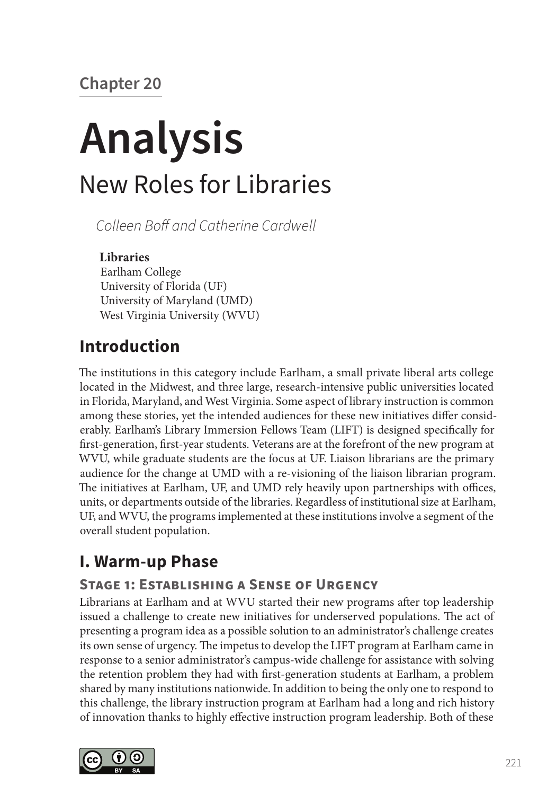# **Chapter 20**

# **Analysis** New Roles for Libraries

*Colleen Boff and Catherine Cardwell*

#### **Libraries**

Earlham College University of Florida (UF) University of Maryland (UMD) West Virginia University (WVU)

## **Introduction**

The institutions in this category include Earlham, a small private liberal arts college located in the Midwest, and three large, research-intensive public universities located in Florida, Maryland, and West Virginia. Some aspect of library instruction is common among these stories, yet the intended audiences for these new initiatives differ considerably. Earlham's Library Immersion Fellows Team (LIFT) is designed specifically for first-generation, first-year students. Veterans are at the forefront of the new program at WVU, while graduate students are the focus at UF. Liaison librarians are the primary audience for the change at UMD with a re-visioning of the liaison librarian program. The initiatives at Earlham, UF, and UMD rely heavily upon partnerships with offices, units, or departments outside of the libraries. Regardless of institutional size at Earlham, UF, and WVU, the programs implemented at these institutions involve a segment of the overall student population.

# **I. Warm-up Phase**

## **Stage 1: Establishing a Sense of Urgency**

Librarians at Earlham and at WVU started their new programs after top leadership issued a challenge to create new initiatives for underserved populations. The act of presenting a program idea as a possible solution to an administrator's challenge creates its own sense of urgency. The impetus to develop the LIFT program at Earlham came in response to a senior administrator's campus-wide challenge for assistance with solving the retention problem they had with first-generation students at Earlham, a problem shared by many institutions nationwide. In addition to being the only one to respond to this challenge, the library instruction program at Earlham had a long and rich history of innovation thanks to highly effective instruction program leadership. Both of these

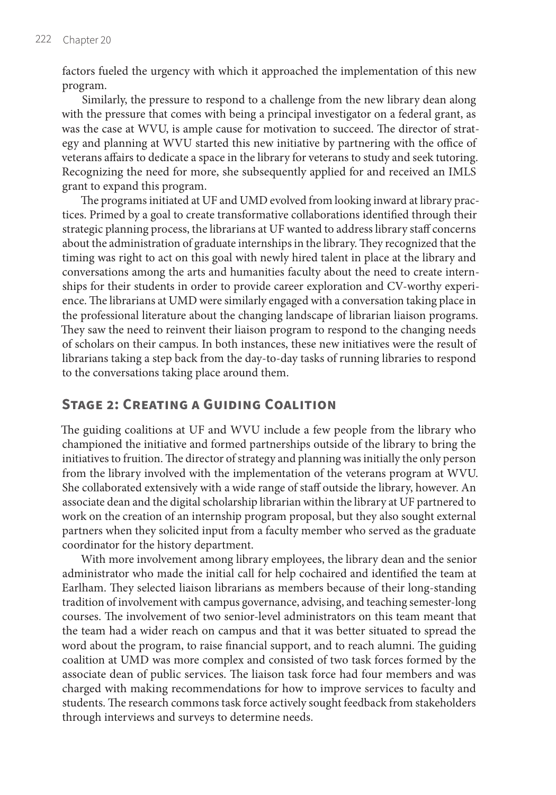factors fueled the urgency with which it approached the implementation of this new program.

Similarly, the pressure to respond to a challenge from the new library dean along with the pressure that comes with being a principal investigator on a federal grant, as was the case at WVU, is ample cause for motivation to succeed. The director of strategy and planning at WVU started this new initiative by partnering with the office of veterans affairs to dedicate a space in the library for veterans to study and seek tutoring. Recognizing the need for more, she subsequently applied for and received an IMLS grant to expand this program.

The programs initiated at UF and UMD evolved from looking inward at library practices. Primed by a goal to create transformative collaborations identified through their strategic planning process, the librarians at UF wanted to address library staff concerns about the administration of graduate internships in the library. They recognized that the timing was right to act on this goal with newly hired talent in place at the library and conversations among the arts and humanities faculty about the need to create internships for their students in order to provide career exploration and CV-worthy experience. The librarians at UMD were similarly engaged with a conversation taking place in the professional literature about the changing landscape of librarian liaison programs. They saw the need to reinvent their liaison program to respond to the changing needs of scholars on their campus. In both instances, these new initiatives were the result of librarians taking a step back from the day-to-day tasks of running libraries to respond to the conversations taking place around them.

#### **Stage 2: Creating a Guiding Coalition**

The guiding coalitions at UF and WVU include a few people from the library who championed the initiative and formed partnerships outside of the library to bring the initiatives to fruition. The director of strategy and planning was initially the only person from the library involved with the implementation of the veterans program at WVU. She collaborated extensively with a wide range of staff outside the library, however. An associate dean and the digital scholarship librarian within the library at UF partnered to work on the creation of an internship program proposal, but they also sought external partners when they solicited input from a faculty member who served as the graduate coordinator for the history department.

With more involvement among library employees, the library dean and the senior administrator who made the initial call for help cochaired and identified the team at Earlham. They selected liaison librarians as members because of their long-standing tradition of involvement with campus governance, advising, and teaching semester-long courses. The involvement of two senior-level administrators on this team meant that the team had a wider reach on campus and that it was better situated to spread the word about the program, to raise financial support, and to reach alumni. The guiding coalition at UMD was more complex and consisted of two task forces formed by the associate dean of public services. The liaison task force had four members and was charged with making recommendations for how to improve services to faculty and students. The research commons task force actively sought feedback from stakeholders through interviews and surveys to determine needs.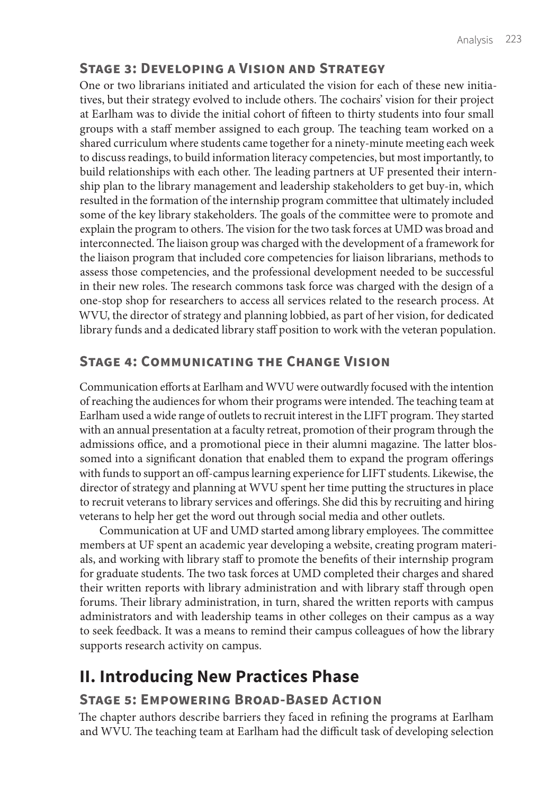### **Stage 3: Developing a Vision and Strategy**

One or two librarians initiated and articulated the vision for each of these new initiatives, but their strategy evolved to include others. The cochairs' vision for their project at Earlham was to divide the initial cohort of fifteen to thirty students into four small groups with a staff member assigned to each group. The teaching team worked on a shared curriculum where students came together for a ninety-minute meeting each week to discuss readings, to build information literacy competencies, but most importantly, to build relationships with each other. The leading partners at UF presented their internship plan to the library management and leadership stakeholders to get buy-in, which resulted in the formation of the internship program committee that ultimately included some of the key library stakeholders. The goals of the committee were to promote and explain the program to others. The vision for the two task forces at UMD was broad and interconnected. The liaison group was charged with the development of a framework for the liaison program that included core competencies for liaison librarians, methods to assess those competencies, and the professional development needed to be successful in their new roles. The research commons task force was charged with the design of a one-stop shop for researchers to access all services related to the research process. At WVU, the director of strategy and planning lobbied, as part of her vision, for dedicated library funds and a dedicated library staff position to work with the veteran population.

#### **Stage 4: Communicating the Change Vision**

Communication efforts at Earlham and WVU were outwardly focused with the intention of reaching the audiences for whom their programs were intended. The teaching team at Earlham used a wide range of outlets to recruit interest in the LIFT program. They started with an annual presentation at a faculty retreat, promotion of their program through the admissions office, and a promotional piece in their alumni magazine. The latter blossomed into a significant donation that enabled them to expand the program offerings with funds to support an off-campus learning experience for LIFT students. Likewise, the director of strategy and planning at WVU spent her time putting the structures in place to recruit veterans to library services and offerings. She did this by recruiting and hiring veterans to help her get the word out through social media and other outlets.

Communication at UF and UMD started among library employees. The committee members at UF spent an academic year developing a website, creating program materials, and working with library staff to promote the benefits of their internship program for graduate students. The two task forces at UMD completed their charges and shared their written reports with library administration and with library staff through open forums. Their library administration, in turn, shared the written reports with campus administrators and with leadership teams in other colleges on their campus as a way to seek feedback. It was a means to remind their campus colleagues of how the library supports research activity on campus.

# **II. Introducing New Practices Phase**

## **Stage 5: Empowering Broad-Based Action**

The chapter authors describe barriers they faced in refining the programs at Earlham and WVU. The teaching team at Earlham had the difficult task of developing selection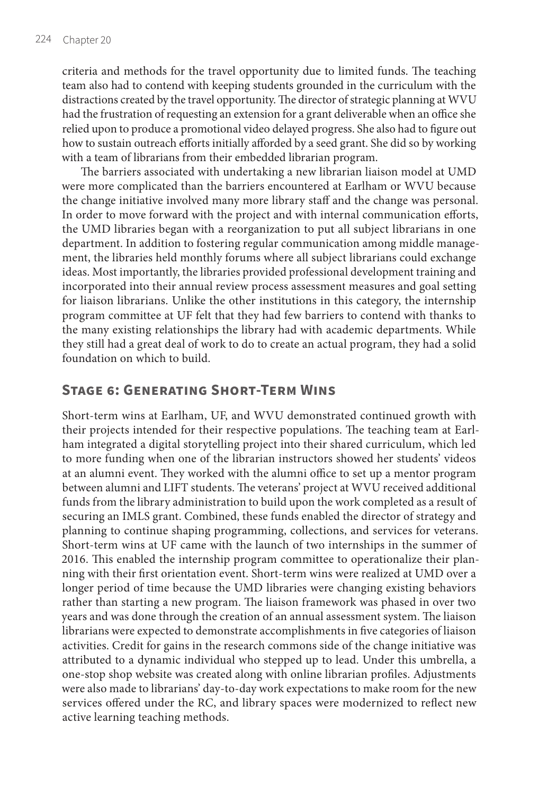criteria and methods for the travel opportunity due to limited funds. The teaching team also had to contend with keeping students grounded in the curriculum with the distractions created by the travel opportunity. The director of strategic planning at WVU had the frustration of requesting an extension for a grant deliverable when an office she relied upon to produce a promotional video delayed progress. She also had to figure out how to sustain outreach efforts initially afforded by a seed grant. She did so by working with a team of librarians from their embedded librarian program.

The barriers associated with undertaking a new librarian liaison model at UMD were more complicated than the barriers encountered at Earlham or WVU because the change initiative involved many more library staff and the change was personal. In order to move forward with the project and with internal communication efforts, the UMD libraries began with a reorganization to put all subject librarians in one department. In addition to fostering regular communication among middle management, the libraries held monthly forums where all subject librarians could exchange ideas. Most importantly, the libraries provided professional development training and incorporated into their annual review process assessment measures and goal setting for liaison librarians. Unlike the other institutions in this category, the internship program committee at UF felt that they had few barriers to contend with thanks to the many existing relationships the library had with academic departments. While they still had a great deal of work to do to create an actual program, they had a solid foundation on which to build.

#### **Stage 6: Generating Short-Term Wins**

Short-term wins at Earlham, UF, and WVU demonstrated continued growth with their projects intended for their respective populations. The teaching team at Earlham integrated a digital storytelling project into their shared curriculum, which led to more funding when one of the librarian instructors showed her students' videos at an alumni event. They worked with the alumni office to set up a mentor program between alumni and LIFT students. The veterans' project at WVU received additional funds from the library administration to build upon the work completed as a result of securing an IMLS grant. Combined, these funds enabled the director of strategy and planning to continue shaping programming, collections, and services for veterans. Short-term wins at UF came with the launch of two internships in the summer of 2016. This enabled the internship program committee to operationalize their planning with their first orientation event. Short-term wins were realized at UMD over a longer period of time because the UMD libraries were changing existing behaviors rather than starting a new program. The liaison framework was phased in over two years and was done through the creation of an annual assessment system. The liaison librarians were expected to demonstrate accomplishments in five categories of liaison activities. Credit for gains in the research commons side of the change initiative was attributed to a dynamic individual who stepped up to lead. Under this umbrella, a one-stop shop website was created along with online librarian profiles. Adjustments were also made to librarians' day-to-day work expectations to make room for the new services offered under the RC, and library spaces were modernized to reflect new active learning teaching methods.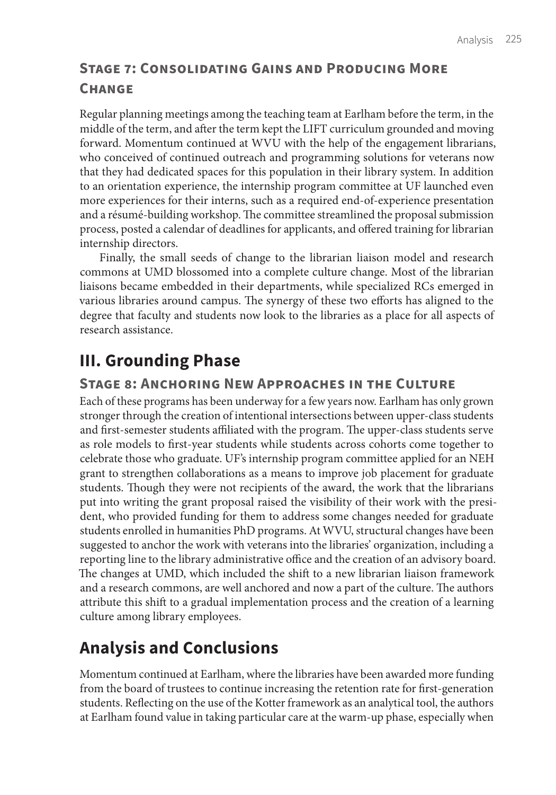## **Stage 7: Consolidating Gains and Producing More Change**

Regular planning meetings among the teaching team at Earlham before the term, in the middle of the term, and after the term kept the LIFT curriculum grounded and moving forward. Momentum continued at WVU with the help of the engagement librarians, who conceived of continued outreach and programming solutions for veterans now that they had dedicated spaces for this population in their library system. In addition to an orientation experience, the internship program committee at UF launched even more experiences for their interns, such as a required end-of-experience presentation and a résumé-building workshop. The committee streamlined the proposal submission process, posted a calendar of deadlines for applicants, and offered training for librarian internship directors.

Finally, the small seeds of change to the librarian liaison model and research commons at UMD blossomed into a complete culture change. Most of the librarian liaisons became embedded in their departments, while specialized RCs emerged in various libraries around campus. The synergy of these two efforts has aligned to the degree that faculty and students now look to the libraries as a place for all aspects of research assistance.

# **III. Grounding Phase**

#### **Stage 8: Anchoring New Approaches in the Culture**

Each of these programs has been underway for a few years now. Earlham has only grown stronger through the creation of intentional intersections between upper-class students and first-semester students affiliated with the program. The upper-class students serve as role models to first-year students while students across cohorts come together to celebrate those who graduate. UF's internship program committee applied for an NEH grant to strengthen collaborations as a means to improve job placement for graduate students. Though they were not recipients of the award, the work that the librarians put into writing the grant proposal raised the visibility of their work with the president, who provided funding for them to address some changes needed for graduate students enrolled in humanities PhD programs. At WVU, structural changes have been suggested to anchor the work with veterans into the libraries' organization, including a reporting line to the library administrative office and the creation of an advisory board. The changes at UMD, which included the shift to a new librarian liaison framework and a research commons, are well anchored and now a part of the culture. The authors attribute this shift to a gradual implementation process and the creation of a learning culture among library employees.

# **Analysis and Conclusions**

Momentum continued at Earlham, where the libraries have been awarded more funding from the board of trustees to continue increasing the retention rate for first-generation students. Reflecting on the use of the Kotter framework as an analytical tool, the authors at Earlham found value in taking particular care at the warm-up phase, especially when